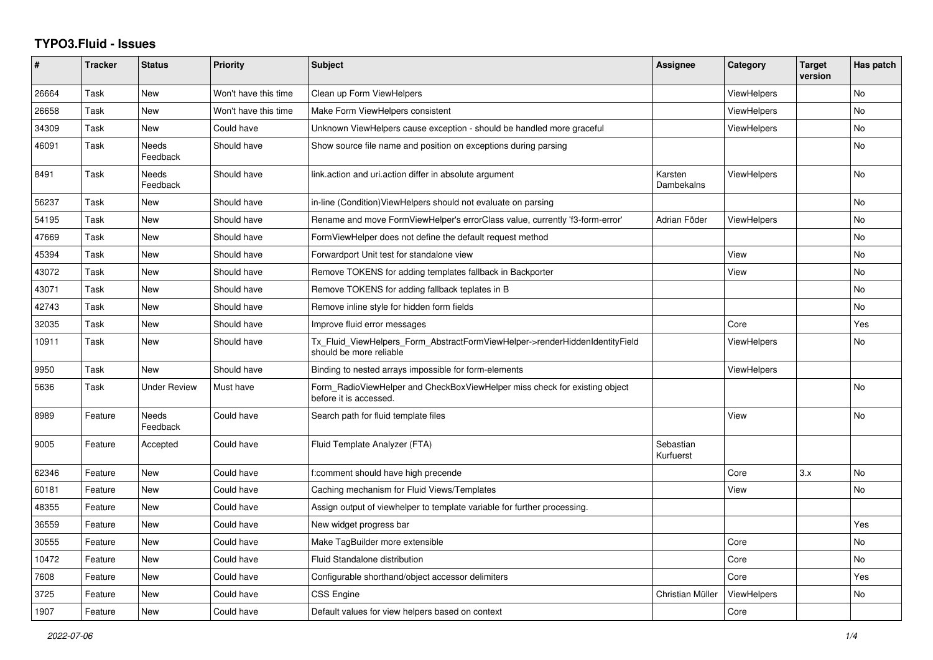## **TYPO3.Fluid - Issues**

| #     | <b>Tracker</b> | <b>Status</b>            | Priority             | Subject                                                                                                | Assignee               | Category           | <b>Target</b><br>version | Has patch      |
|-------|----------------|--------------------------|----------------------|--------------------------------------------------------------------------------------------------------|------------------------|--------------------|--------------------------|----------------|
| 26664 | Task           | <b>New</b>               | Won't have this time | Clean up Form ViewHelpers                                                                              |                        | ViewHelpers        |                          | N <sub>o</sub> |
| 26658 | Task           | <b>New</b>               | Won't have this time | Make Form ViewHelpers consistent                                                                       |                        | <b>ViewHelpers</b> |                          | No             |
| 34309 | Task           | <b>New</b>               | Could have           | Unknown ViewHelpers cause exception - should be handled more graceful                                  |                        | <b>ViewHelpers</b> |                          | No             |
| 46091 | Task           | <b>Needs</b><br>Feedback | Should have          | Show source file name and position on exceptions during parsing                                        |                        |                    |                          | No             |
| 8491  | Task           | <b>Needs</b><br>Feedback | Should have          | link action and uri action differ in absolute argument                                                 | Karsten<br>Dambekalns  | ViewHelpers        |                          | No             |
| 56237 | Task           | New                      | Should have          | in-line (Condition) View Helpers should not evaluate on parsing                                        |                        |                    |                          | No             |
| 54195 | Task           | <b>New</b>               | Should have          | Rename and move FormViewHelper's errorClass value, currently 'f3-form-error'                           | Adrian Föder           | <b>ViewHelpers</b> |                          | No             |
| 47669 | Task           | <b>New</b>               | Should have          | FormViewHelper does not define the default request method                                              |                        |                    |                          | No             |
| 45394 | Task           | New                      | Should have          | Forwardport Unit test for standalone view                                                              |                        | View               |                          | No             |
| 43072 | Task           | <b>New</b>               | Should have          | Remove TOKENS for adding templates fallback in Backporter                                              |                        | View               |                          | No             |
| 43071 | Task           | <b>New</b>               | Should have          | Remove TOKENS for adding fallback teplates in B                                                        |                        |                    |                          | No             |
| 42743 | Task           | <b>New</b>               | Should have          | Remove inline style for hidden form fields                                                             |                        |                    |                          | No             |
| 32035 | Task           | New                      | Should have          | Improve fluid error messages                                                                           |                        | Core               |                          | Yes            |
| 10911 | Task           | <b>New</b>               | Should have          | Tx Fluid ViewHelpers Form AbstractFormViewHelper->renderHiddenIdentityField<br>should be more reliable |                        | <b>ViewHelpers</b> |                          | No.            |
| 9950  | Task           | <b>New</b>               | Should have          | Binding to nested arrays impossible for form-elements                                                  |                        | <b>ViewHelpers</b> |                          |                |
| 5636  | Task           | <b>Under Review</b>      | Must have            | Form RadioViewHelper and CheckBoxViewHelper miss check for existing object<br>before it is accessed.   |                        |                    |                          | No.            |
| 8989  | Feature        | Needs<br>Feedback        | Could have           | Search path for fluid template files                                                                   |                        | View               |                          | No             |
| 9005  | Feature        | Accepted                 | Could have           | Fluid Template Analyzer (FTA)                                                                          | Sebastian<br>Kurfuerst |                    |                          |                |
| 62346 | Feature        | New                      | Could have           | f:comment should have high precende                                                                    |                        | Core               | 3.x                      | No             |
| 60181 | Feature        | New                      | Could have           | Caching mechanism for Fluid Views/Templates                                                            |                        | View               |                          | No             |
| 48355 | Feature        | <b>New</b>               | Could have           | Assign output of viewhelper to template variable for further processing.                               |                        |                    |                          |                |
| 36559 | Feature        | New                      | Could have           | New widget progress bar                                                                                |                        |                    |                          | Yes            |
| 30555 | Feature        | <b>New</b>               | Could have           | Make TagBuilder more extensible                                                                        |                        | Core               |                          | No             |
| 10472 | Feature        | <b>New</b>               | Could have           | Fluid Standalone distribution                                                                          |                        | Core               |                          | No             |
| 7608  | Feature        | New                      | Could have           | Configurable shorthand/object accessor delimiters                                                      |                        | Core               |                          | Yes            |
| 3725  | Feature        | New                      | Could have           | CSS Engine                                                                                             | Christian Müller       | ViewHelpers        |                          | No             |
| 1907  | Feature        | <b>New</b>               | Could have           | Default values for view helpers based on context                                                       |                        | Core               |                          |                |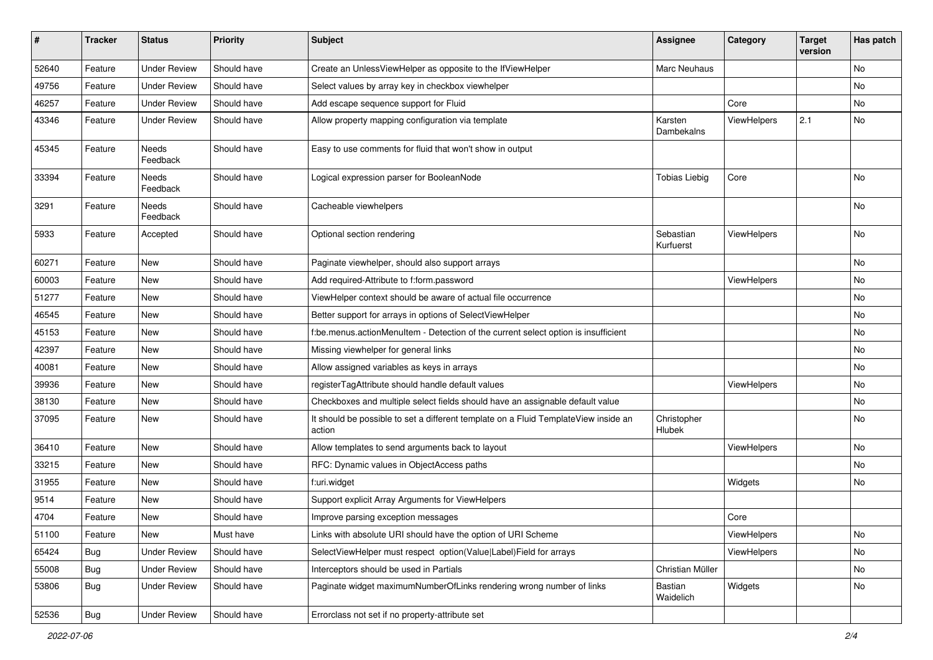| $\pmb{\#}$ | <b>Tracker</b> | <b>Status</b>            | <b>Priority</b> | <b>Subject</b>                                                                                | <b>Assignee</b>        | Category    | <b>Target</b><br>version | Has patch |
|------------|----------------|--------------------------|-----------------|-----------------------------------------------------------------------------------------------|------------------------|-------------|--------------------------|-----------|
| 52640      | Feature        | <b>Under Review</b>      | Should have     | Create an UnlessViewHelper as opposite to the IfViewHelper                                    | Marc Neuhaus           |             |                          | No        |
| 49756      | Feature        | <b>Under Review</b>      | Should have     | Select values by array key in checkbox viewhelper                                             |                        |             |                          | No        |
| 46257      | Feature        | <b>Under Review</b>      | Should have     | Add escape sequence support for Fluid                                                         |                        | Core        |                          | No        |
| 43346      | Feature        | <b>Under Review</b>      | Should have     | Allow property mapping configuration via template                                             | Karsten<br>Dambekalns  | ViewHelpers | 2.1                      | No        |
| 45345      | Feature        | <b>Needs</b><br>Feedback | Should have     | Easy to use comments for fluid that won't show in output                                      |                        |             |                          |           |
| 33394      | Feature        | Needs<br>Feedback        | Should have     | Logical expression parser for BooleanNode                                                     | <b>Tobias Liebig</b>   | Core        |                          | <b>No</b> |
| 3291       | Feature        | Needs<br>Feedback        | Should have     | Cacheable viewhelpers                                                                         |                        |             |                          | No        |
| 5933       | Feature        | Accepted                 | Should have     | Optional section rendering                                                                    | Sebastian<br>Kurfuerst | ViewHelpers |                          | No        |
| 60271      | Feature        | New                      | Should have     | Paginate viewhelper, should also support arrays                                               |                        |             |                          | No        |
| 60003      | Feature        | New                      | Should have     | Add required-Attribute to f:form.password                                                     |                        | ViewHelpers |                          | No        |
| 51277      | Feature        | New                      | Should have     | ViewHelper context should be aware of actual file occurrence                                  |                        |             |                          | No        |
| 46545      | Feature        | <b>New</b>               | Should have     | Better support for arrays in options of SelectViewHelper                                      |                        |             |                          | No        |
| 45153      | Feature        | New                      | Should have     | f:be.menus.actionMenuItem - Detection of the current select option is insufficient            |                        |             |                          | No        |
| 42397      | Feature        | New                      | Should have     | Missing viewhelper for general links                                                          |                        |             |                          | No        |
| 40081      | Feature        | New                      | Should have     | Allow assigned variables as keys in arrays                                                    |                        |             |                          | No        |
| 39936      | Feature        | New                      | Should have     | registerTagAttribute should handle default values                                             |                        | ViewHelpers |                          | No        |
| 38130      | Feature        | New                      | Should have     | Checkboxes and multiple select fields should have an assignable default value                 |                        |             |                          | No        |
| 37095      | Feature        | New                      | Should have     | It should be possible to set a different template on a Fluid TemplateView inside an<br>action | Christopher<br>Hlubek  |             |                          | No        |
| 36410      | Feature        | New                      | Should have     | Allow templates to send arguments back to layout                                              |                        | ViewHelpers |                          | No        |
| 33215      | Feature        | New                      | Should have     | RFC: Dynamic values in ObjectAccess paths                                                     |                        |             |                          | No        |
| 31955      | Feature        | New                      | Should have     | f:uri.widget                                                                                  |                        | Widgets     |                          | No        |
| 9514       | Feature        | New                      | Should have     | Support explicit Array Arguments for ViewHelpers                                              |                        |             |                          |           |
| 4704       | Feature        | New                      | Should have     | Improve parsing exception messages                                                            |                        | Core        |                          |           |
| 51100      | Feature        | New                      | Must have       | Links with absolute URI should have the option of URI Scheme                                  |                        | ViewHelpers |                          | No        |
| 65424      | Bug            | <b>Under Review</b>      | Should have     | SelectViewHelper must respect option(Value Label)Field for arrays                             |                        | ViewHelpers |                          | No        |
| 55008      | Bug            | <b>Under Review</b>      | Should have     | Interceptors should be used in Partials                                                       | Christian Müller       |             |                          | No        |
| 53806      | Bug            | <b>Under Review</b>      | Should have     | Paginate widget maximumNumberOfLinks rendering wrong number of links                          | Bastian<br>Waidelich   | Widgets     |                          | No        |
| 52536      | <b>Bug</b>     | <b>Under Review</b>      | Should have     | Errorclass not set if no property-attribute set                                               |                        |             |                          |           |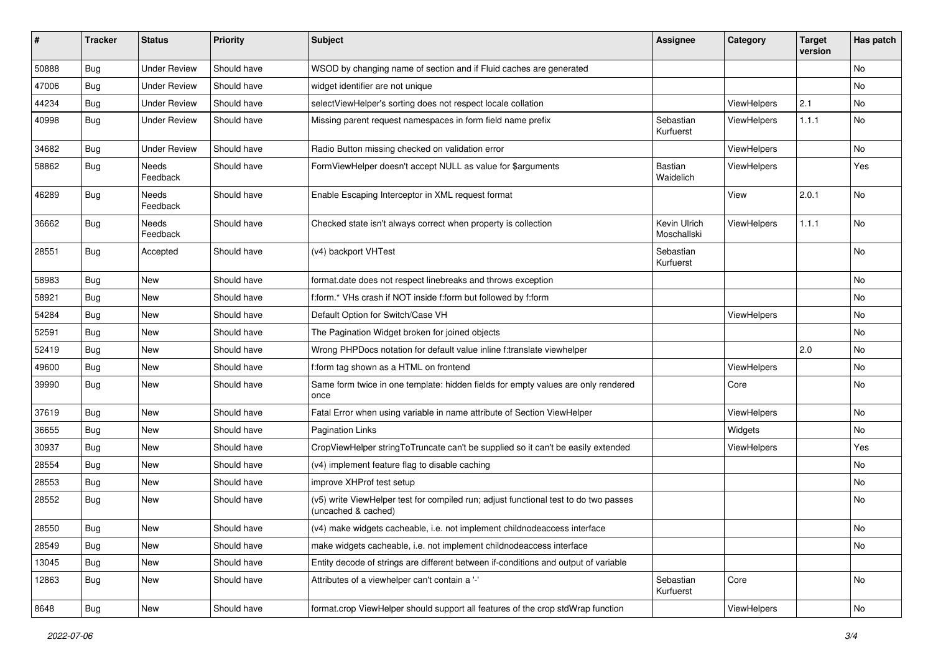| ∦     | <b>Tracker</b> | <b>Status</b>       | <b>Priority</b> | <b>Subject</b>                                                                                              | <b>Assignee</b>             | Category           | <b>Target</b><br>version | Has patch |
|-------|----------------|---------------------|-----------------|-------------------------------------------------------------------------------------------------------------|-----------------------------|--------------------|--------------------------|-----------|
| 50888 | Bug            | <b>Under Review</b> | Should have     | WSOD by changing name of section and if Fluid caches are generated                                          |                             |                    |                          | No        |
| 47006 | Bug            | <b>Under Review</b> | Should have     | widget identifier are not unique                                                                            |                             |                    |                          | No        |
| 44234 | Bug            | <b>Under Review</b> | Should have     | selectViewHelper's sorting does not respect locale collation                                                |                             | ViewHelpers        | 2.1                      | No        |
| 40998 | Bug            | <b>Under Review</b> | Should have     | Missing parent request namespaces in form field name prefix                                                 | Sebastian<br>Kurfuerst      | ViewHelpers        | 1.1.1                    | No        |
| 34682 | Bug            | <b>Under Review</b> | Should have     | Radio Button missing checked on validation error                                                            |                             | ViewHelpers        |                          | No.       |
| 58862 | Bug            | Needs<br>Feedback   | Should have     | FormViewHelper doesn't accept NULL as value for \$arguments                                                 | Bastian<br>Waidelich        | ViewHelpers        |                          | Yes       |
| 46289 | Bug            | Needs<br>Feedback   | Should have     | Enable Escaping Interceptor in XML request format                                                           |                             | View               | 2.0.1                    | No        |
| 36662 | Bug            | Needs<br>Feedback   | Should have     | Checked state isn't always correct when property is collection                                              | Kevin Ulrich<br>Moschallski | ViewHelpers        | 1.1.1                    | No        |
| 28551 | Bug            | Accepted            | Should have     | (v4) backport VHTest                                                                                        | Sebastian<br>Kurfuerst      |                    |                          | No        |
| 58983 | <b>Bug</b>     | New                 | Should have     | format.date does not respect linebreaks and throws exception                                                |                             |                    |                          | No        |
| 58921 | Bug            | New                 | Should have     | f:form.* VHs crash if NOT inside f:form but followed by f:form                                              |                             |                    |                          | No        |
| 54284 | <b>Bug</b>     | New                 | Should have     | Default Option for Switch/Case VH                                                                           |                             | <b>ViewHelpers</b> |                          | No        |
| 52591 | Bug            | New                 | Should have     | The Pagination Widget broken for joined objects                                                             |                             |                    |                          | No        |
| 52419 | Bug            | New                 | Should have     | Wrong PHPDocs notation for default value inline f:translate viewhelper                                      |                             |                    | 2.0                      | No        |
| 49600 | <b>Bug</b>     | New                 | Should have     | f:form tag shown as a HTML on frontend                                                                      |                             | ViewHelpers        |                          | No        |
| 39990 | Bug            | New                 | Should have     | Same form twice in one template: hidden fields for empty values are only rendered<br>once                   |                             | Core               |                          | No        |
| 37619 | Bug            | New                 | Should have     | Fatal Error when using variable in name attribute of Section ViewHelper                                     |                             | ViewHelpers        |                          | No        |
| 36655 | Bug            | New                 | Should have     | <b>Pagination Links</b>                                                                                     |                             | Widgets            |                          | No        |
| 30937 | Bug            | New                 | Should have     | CropViewHelper stringToTruncate can't be supplied so it can't be easily extended                            |                             | ViewHelpers        |                          | Yes       |
| 28554 | Bug            | New                 | Should have     | (v4) implement feature flag to disable caching                                                              |                             |                    |                          | No        |
| 28553 | Bug            | New                 | Should have     | improve XHProf test setup                                                                                   |                             |                    |                          | No        |
| 28552 | Bug            | New                 | Should have     | (v5) write ViewHelper test for compiled run; adjust functional test to do two passes<br>(uncached & cached) |                             |                    |                          | No        |
| 28550 | <b>Bug</b>     | New                 | Should have     | (v4) make widgets cacheable, i.e. not implement childnodeaccess interface                                   |                             |                    |                          | No        |
| 28549 | Bug            | New                 | Should have     | make widgets cacheable, i.e. not implement childnodeaccess interface                                        |                             |                    |                          | No        |
| 13045 | Bug            | New                 | Should have     | Entity decode of strings are different between if-conditions and output of variable                         |                             |                    |                          |           |
| 12863 | Bug            | New                 | Should have     | Attributes of a viewhelper can't contain a '-'                                                              | Sebastian<br>Kurfuerst      | Core               |                          | No        |
| 8648  | Bug            | New                 | Should have     | format.crop ViewHelper should support all features of the crop stdWrap function                             |                             | ViewHelpers        |                          | No        |